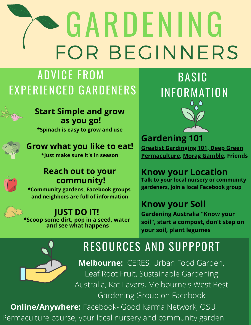# GARDENING FOR BEGINNERS

# ADVICE FROM EXPERIENCED GARDENERS

### **Start Simple and grow as you go!**

**\*Spinach is easy to grow and use**

#### **Grow what you like to eat! \*Just make sure it's in season**

### **Reach out to your community!**

**\*Community gardens, Facebook groups and neighbors are full of information**

### **JUST DO IT!**

**\*Scoop some dirt, pop in a seed, water and see what happens**





**Gardening 101 [Greatist Gardinging 101,](https://greatist.com/connect/beginners-guide-to-gardening#1) Deep Green [Permaculture, Morag Gamble, Friend](https://deepgreenpermaculture.com/diy-instructions/starting-your-permaculture-garden/)s**

### **Know your Location**

**Talk to your local nursery or community gardeners, join a local Facebook group**

### **Know your Soil**

**[Gardening](https://www.abc.net.au/gardening/factsheets/know-your-soil/9437608) Australia "Know your soil", start a compost, don't step on your soil, plant legumes**



# RESOURCES AND SUPPPORT

**Melbourne:** CERES, Urban Food Garden, Leaf Root Fruit, Sustainable Gardening Australia, Kat Lavers, Melbourne's West Best Gardening Group on Facebook

**Online/Anywhere:** Facebook- Good Karma Network, OSU Permaculture course, your local nursery and community garden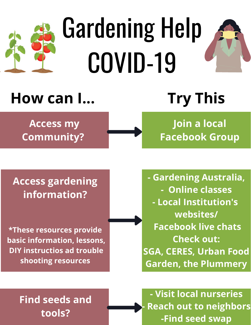

# Gardening Help COVID-19

# **How can I... Try This**

 **Access my Community?**

**Join a local Facebook Group**

### **Access gardening information?**

**\*These resources provide basic information, lessons, DIY instructios ad trouble shooting resources**

**- Gardening Australia, - Online classes - Local Institution's websites/ Facebook live chats Check out: SGA, CERES, Urban Food Garden, the Plummery**

# **Find seeds and tools?**

**- Visit local nurseries - Reach out to neighbors -Find seed swap**